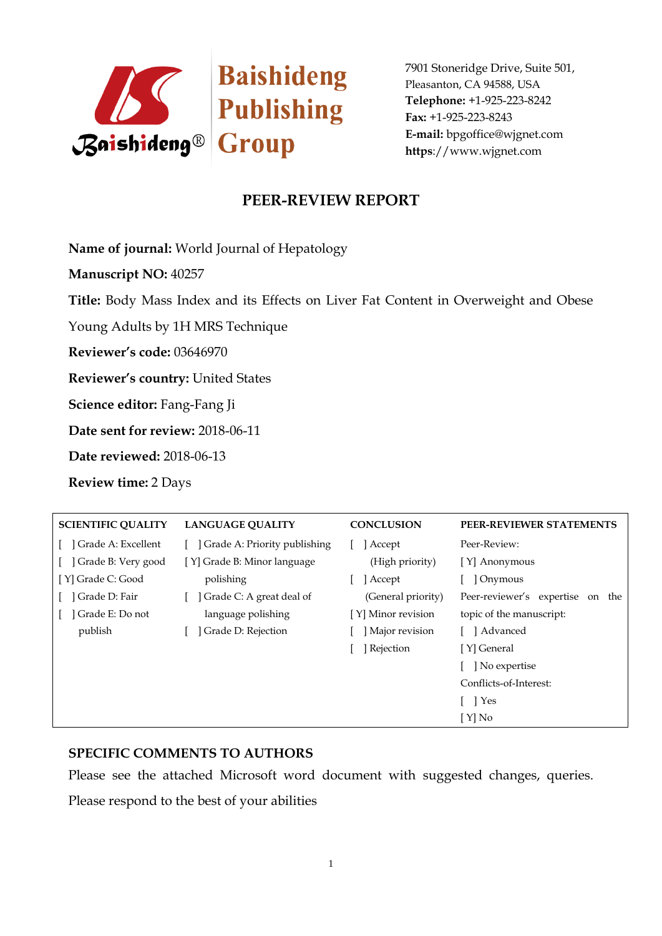

# **PEER-REVIEW REPORT**

**Name of journal:** World Journal of Hepatology

**Manuscript NO:** 40257

**Title:** Body Mass Index and its Effects on Liver Fat Content in Overweight and Obese

Young Adults by 1H MRS Technique

**Reviewer's code:** 03646970

**Reviewer's country:** United States

**Science editor:** Fang-Fang Ji

**Date sent for review:** 2018-06-11

**Date reviewed:** 2018-06-13

**Review time:** 2 Days

| <b>SCIENTIFIC QUALITY</b> | <b>LANGUAGE OUALITY</b>          | <b>CONCLUSION</b>  | PEER-REVIEWER STATEMENTS            |
|---------------------------|----------------------------------|--------------------|-------------------------------------|
| Grade A: Excellent        | [ ] Grade A: Priority publishing | Accept             | Peer-Review:                        |
| Grade B: Very good        | [Y] Grade B: Minor language      | (High priority)    | [Y] Anonymous                       |
| [Y] Grade C: Good         | polishing                        | Accept             | ] Onymous                           |
| Grade D: Fair             | Grade C: A great deal of         | (General priority) | Peer-reviewer's expertise<br>on the |
| Grade E: Do not           | language polishing               | [Y] Minor revision | topic of the manuscript:            |
| publish                   | Grade D: Rejection               | Major revision     | [ ] Advanced                        |
|                           |                                  | ] Rejection        | [Y] General                         |
|                           |                                  |                    | No expertise                        |
|                           |                                  |                    | Conflicts-of-Interest:              |
|                           |                                  |                    | [ ] Yes                             |
|                           |                                  |                    | $[Y]$ No                            |

#### **SPECIFIC COMMENTS TO AUTHORS**

Please see the attached Microsoft word document with suggested changes, queries.

Please respond to the best of your abilities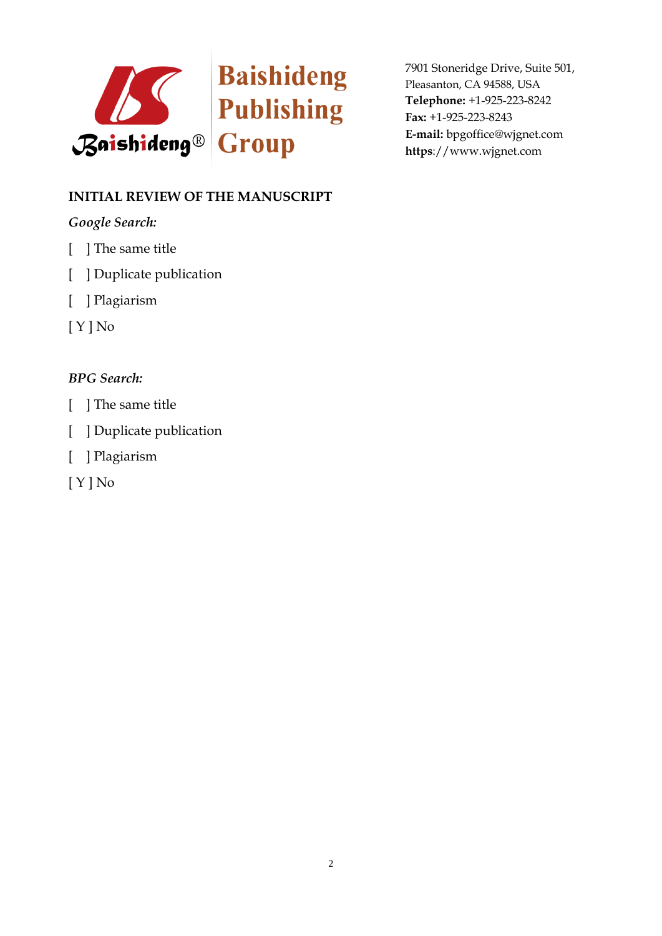

# **INITIAL REVIEW OF THE MANUSCRIPT**

### *Google Search:*

- [ ] The same title
- [ ] Duplicate publication
- [ ] Plagiarism
- [ Y ] No

## *BPG Search:*

- [ ] The same title
- [ ] Duplicate publication
- [ ] Plagiarism

[ Y ] No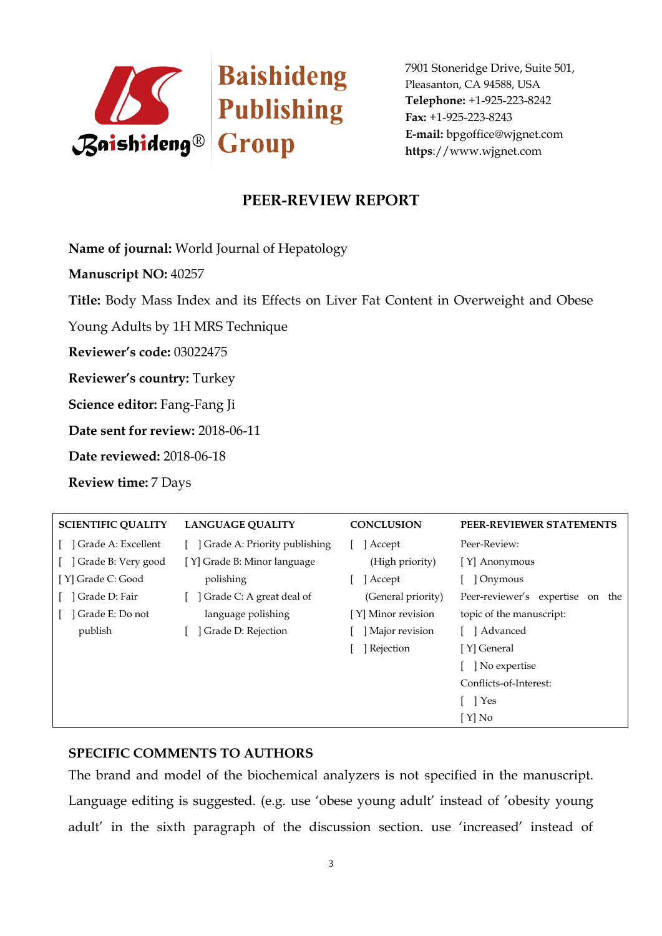

# **PEER-REVIEW REPORT**

**Name of journal:** World Journal of Hepatology

**Manuscript NO:** 40257

**Title:** Body Mass Index and its Effects on Liver Fat Content in Overweight and Obese

Young Adults by 1H MRS Technique

**Reviewer's code:** 03022475

**Reviewer's country:** Turkey

**Science editor:** Fang-Fang Ji

**Date sent for review:** 2018-06-11

**Date reviewed:** 2018-06-18

**Review time:** 7 Days

| <b>SCIENTIFIC QUALITY</b> | <b>LANGUAGE OUALITY</b>      | <b>CONCLUSION</b>  | PEER-REVIEWER STATEMENTS               |
|---------------------------|------------------------------|--------------------|----------------------------------------|
| Grade A: Excellent        | Grade A: Priority publishing | Accept             | Peer-Review:                           |
| Grade B: Very good        | [Y] Grade B: Minor language  | (High priority)    | [Y] Anonymous                          |
| [Y] Grade C: Good         | polishing                    | Accept             | ] Onymous                              |
| Grade D: Fair             | Grade C: A great deal of     | (General priority) | Peer-reviewer's expertise<br>the<br>on |
| Grade E: Do not           | language polishing           | [Y] Minor revision | topic of the manuscript:               |
| publish                   | Grade D: Rejection           | Major revision     | ] Advanced                             |
|                           |                              | Rejection          | [Y] General                            |
|                           |                              |                    | ] No expertise                         |
|                           |                              |                    | Conflicts-of-Interest:                 |
|                           |                              |                    | 1 Yes                                  |
|                           |                              |                    | $[ Y]$ No                              |

#### **SPECIFIC COMMENTS TO AUTHORS**

The brand and model of the biochemical analyzers is not specified in the manuscript. Language editing is suggested. (e.g. use 'obese young adult' instead of 'obesity young adult' in the sixth paragraph of the discussion section. use 'increased' instead of